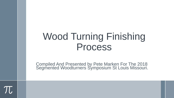# Wood Turning Finishing Process

Compiled And Presented by Pete Marken For The 2018 Segmented Woodturners Symposium St Louis Missouri.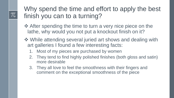$\pi$ 

## Why spend the time and effort to apply the best finish you can to a turning?

- $\triangle$  **After spending the time to turn a very nice piece on the** lathe, why would you not put a knockout finish on it?
- **❖ While attending several juried art shows and dealing with** art galleries I found a few interesting facts:
	- 1. Most of my pieces are purchased by women
	- 2. They tend to find highly polished finishes (both gloss and satin) more desirable
	- 3. They all love to feel the smoothness with their fingers and comment on the exceptional smoothness of the piece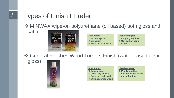# Types of Finish I Prefer

**❖ MINWAX wipe-on polyurethane (oil based) both gloss and** 

satin



#### **Advantages: ❖ Easy to apply Durability Buffs out really well**

#### **Disadvantages: Long drying time Can darken some**

**woods**

General Finishes Wood Turners Finish (water based clear

gloss)



#### **Advantages:**

- **❖ Easy to apply**
- **Dries very quickly**
- $\diamond$  **Buffs out really well**
- **Will not darken wood**

#### **Disadvantages:**

 **Mainly used for smaller pieces due to quick dry time**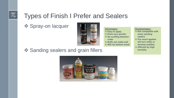### $\pi$

## Types of Finish I Prefer and Sealers

**❖ Spray-on lacquer** 



**Advantages: Easy to apply Dries very quickly** *❖* **No scuffing between coats Buffs out really well Will not darken wood**

#### **Disadvantages:**

- **Not compatible with many sanding sealers**
- **Too much applied will turn milky or develop bubbles**
- **Affected by high humidity**

❖ Sanding sealers and grain fillers

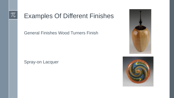# Examples Of Different Finishes

General Finishes Wood Turners Finish

Spray-on Lacquer



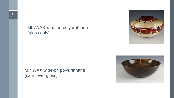### MINWAX wipe-on polyurethane (gloss only)

MINWAX wipe-on polyurethane (satin over gloss)



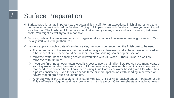### Surface Preparation

- Surface prep is just as important as the actual finish itself. For an exceptional finish all pores and tear out have to be dealt with before finishing. Trying to fill open pores with finish can make you want to pull your hair out. The finish can fill the pores but it takes many - many coats and lots of sanding between coats. You might as well try to fill a pot hole.
- Finishing cuts on the piece are done with negative rake scrapers to eliminate coarse grit sanding. Can usually start with 220 grit then 320.
- $\cdot$  I always apply a couple coats of sanding sealer, the type is dependent on the finish coat to be used.
	- $\triangleright$  For lacquer any of the sealers can be used as long as a de-waxed shellac based sealer is used as a barrier coat first. These could be Zinsser universal sanding sealer or plain shellac.
	- MINWAX water based sanding sealer will work fine with GF Wood Turners Finish, as well as MINWAX wipe-on poly.
	- $\triangleright$  If you are finishing an open grain wood it is best to use a grain filler first. You can use many coats of sanding sealer sanding between coats to fill the grain pores, however this can involve many coats that need to be sanded back. I have been using Aqua Coat clear water based grain filler which has a paste consistency, Even this filler needs three or more applications with sanding in between on severely open grain such as Jatoba etc.
	- After applying fillers and sealers I final sand with 320 grit 3M Mylar backed paper. (not paper at all) This stuff resists clogging and lasts pretty long but it is almost \$5 for two sheets available at Lowes.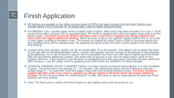### $\pi$

## Finish Application

- ◆ All finishes are applied on the lathe running about 40 RPM and kept running until the finish flashes over. Usually about 5 to 10 minutes for oil based poly. Less for faster drying finishes.
- For MINWAX poly I usually apply seven or eight coats of gloss. After each coat dries (usually 5 to 6 hrs.) I scuff up the finish with a maroon 3m or equivalent pad. The finish is applied with a lint free paper shop cloth ( not the kitchen type). The finish should be applied with light coats. If too much is applied you will get ripples in the finish which will require additional sanding. When all coats of gloss are applied I apply another five or six coats of satin again scuffing in between coats. The reason for putting as many coats of satin is because during the wet sanding some will be sanded away. By applying the gloss under the satin it gives depth to the finish after final buffing.
- Lacquer dries very quickly, usually can be re-coated after 15 to 30 minutes. This allows you to apply the finish in one day with no sanding between coats. Lacquer will actually melt the surface of the previous coat allowing good adhesion. As a rule of thumb if you do not re-coat within six hours you will need to lightly sand the finish with 400 grit before additional coating. The down side of lacquer is you can not apply heavy coats as tiny bubbles will form. If this happens you will have to completely sand that coat away. Humidity will also adversely affect lacquer. I use the spray cans for applying more often than not, MINWAX or Watco lacquer.
- GENERAL FINISHES WOOD TURNERS FINISH is a water based oil infused polyurethane. It is only available in gloss. This finish dries very quickly 10 – 15 minuets. Like lacquer the piece can be finished in one day. I usually apply 8 – 10 coats with a lint free paper shop cloth and scuffing between coats. The finish should be applied with light coats. If too much is applied you will get ripples in the finish which will require additional sanding. This is my go to finish for small pieces 8" or less. Not easy to use on large pieces because the finish flashes over very quickly.
- ◆ Note: The flash point is where the finish begins to get slightly tacky and not prone to run.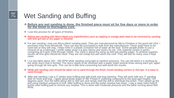# Wet Sanding and Buffing

- **Before any wet sanding is done, the finished piece must sit for five days or more in order for the finish to thoroughly cure.**
- $\div$  I use this process for all types of finishes.

 $\pi$ 

- Before wet sanding with Micro-Mesh any imperfections such as rippling or orange peel need to be removed by sanding with 600 grit wet or dry paper or Abranet.
- ◆ For wet sanding I now use Micro-Mesh sanding pads. They are manufactured by Micro-Finishes in the good old USA. I purchase mine from Woodcraft. They can also be purchased in bulk from the manufacturer. These pads have to be used wet or they will clog. I keep mine in a plastic container full of water all the time. Some people prefer to use a mineral oil as a lubricant. I prefer water since it is less messy and works for me. This material comes in packs containing all 9 grits 1500 through 12000. The 1500 is about the same as 600 grit wet/dry paper. To achieve superior results all nine grits should be used. They are not cheap but well worth the cost. They will last for many uses if kept clean.
- ◆ I run the lathe about 250 300 RPM while sanding using light to medium pressure. You can tell when it is working by the white slurry that is formed. The slurry needs to be removed with a paper towel several times during each grit, again going through all nine grits. This can be a little time consuming but well worth the results.
- While wet sanding care should be taken not to sand through the finish. Avoid sanding corners or thin lips. It is easy to sand through.
- ❖ After wet sanding I use a 3" lambs wool buffing pad with hook and loop backing. They will work with any 3" sanding disk for hook and loop. I apply about three drops of 3M "Finess It" polishing compound to the wool pad roughly 120 degrees apart. Run the lathe about 300 to 400 rpm and slowly start the drill to distribute the polish. Then speed up the drill using medium pressure to buff. After buffing is done and the polish residue has dried,. I use a clean hand held 8" lambs wool buffing pad to remove any residue. This is done with moderate pressure and the lathe running about 800 RPM.